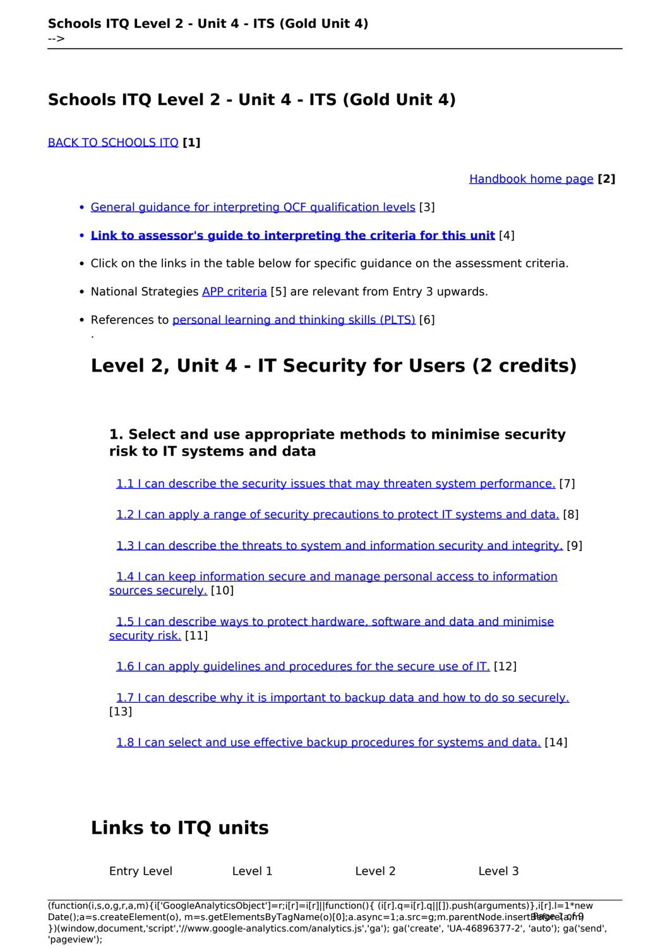### [BACK TO SCHOOLS ITQ](https://theingots.org/community/ITQ_unit_development) **[1]**

.

[Handbook home page](https://theingots.org/community/handbook2) **[2]**

- [General guidance for interpreting QCF qualification levels](https://theingots.org/community/QCF_levels) [3]
- **[Link to assessor's guide to interpreting the criteria for this unit](https://theingots.org/community/SIL2U4X)** [4]
- Click on the links in the table below for specific guidance on the assessment criteria.
- National Strategies [APP criteria](http://nationalstrategies.standards.dcsf.gov.uk/focuses/959/861/110166) [5] are relevant from Entry 3 upwards.
- References to [personal learning and thinking skills \(PLTS\)](http://curriculum.qcda.gov.uk/key-stages-3-and-4/skills/plts/planning-for-plts/index.aspx) [6]

# **Level 2, Unit 4 - IT Security for Users (2 credits)**

## **1. Select and use appropriate methods to minimise security risk to IT systems and data**

[1.1 I can describe the security issues that may threaten system performance.](https://theingots.org/community/sil2u4x#1.1) [7]

[1.2 I can apply a range of security precautions to protect IT systems and data.](https://theingots.org/community/sil2u4x#1.2) [8]

[1.3 I can describe the threats to system and information security and integrity.](https://theingots.org/community/sil2u4x#1.3) [9]

 [1.4 I can keep information secure and manage personal access to information](https://theingots.org/community/sil2u4x#1.4) [sources securely.](https://theingots.org/community/sil2u4x#1.4) [10]

 [1.5 I can describe ways to protect hardware, software and data and minimise](https://theingots.org/community/sil2u4x#1.5) [security risk.](https://theingots.org/community/sil2u4x#1.5) [11]

[1.6 I can apply guidelines and procedures for the secure use of IT.](https://theingots.org/community/sil2u4x#1.6) [12]

 [1.7 I can describe why it is important to backup data and how to do so securely.](https://theingots.org/community/sil2u4x#1.7) [13]

[1.8 I can select and use effective backup procedures for systems and data.](https://theingots.org/community/sil2u4x#1.8) [14]

## **Links to ITQ units**

| Entry Level | Level 1 | Level 2 | Level 3 |
|-------------|---------|---------|---------|
|             |         |         |         |

(function(i,s,o,g,r,a,m){i['GoogleAnalyticsObject']=r;i[r]=i[r]||function(){ (i[r].q=i[r].q||[]).push(arguments)},i[r].l=1\*new Date();a=s.createElement(o), m=s.getElementsByTagName(o)[0];a.async=1;a.src=g;m.parentNode.insertBහ@eetฺaภฺfr9 })(window,document,'script','//www.google-analytics.com/analytics.js','ga'); ga('create', 'UA-46896377-2', 'auto'); ga('send', 'pageview');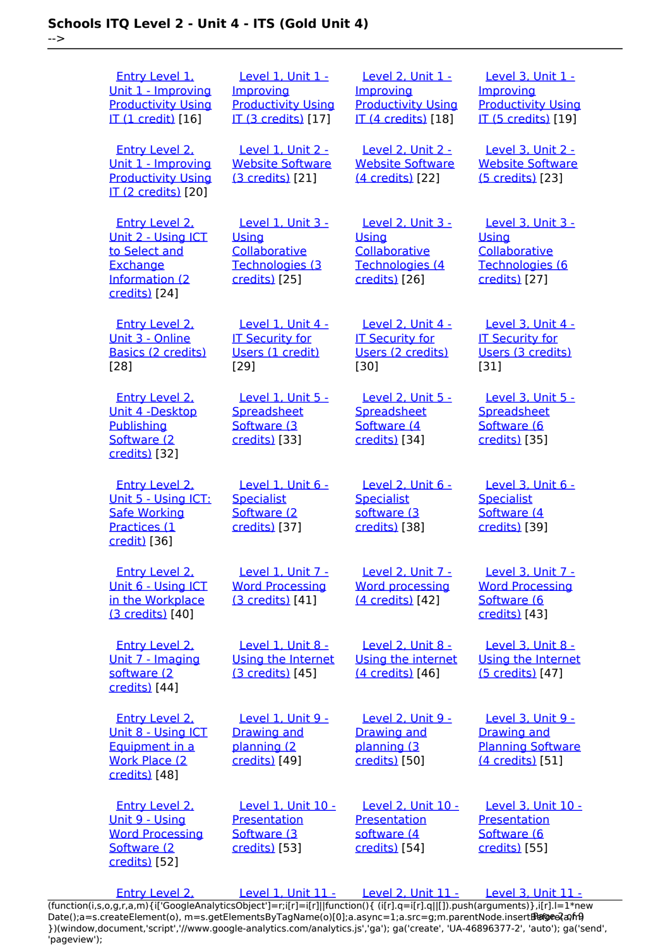-->

 [Entry Level 1,](https://theingots.org/community/siel1u1) [Unit 1 - Improving](https://theingots.org/community/siel1u1) **[Productivity Using](https://theingots.org/community/siel1u1)** [IT \(1 credit\)](https://theingots.org/community/siel1u1) [16] [Level 1, Unit 1 -](https://theingots.org/community/sil1u1) **[Improving](https://theingots.org/community/sil1u1)** [Productivity Using](https://theingots.org/community/sil1u1) [IT \(3 credits\)](https://theingots.org/community/sil1u1) [17] [Level 2, Unit 1 -](https://theingots.org/community/sil2u1) **[Improving](https://theingots.org/community/sil2u1) [Productivity Using](https://theingots.org/community/sil2u1)** [IT \(4 credits\)](https://theingots.org/community/sil2u1) [18] [Level 3, Unit 1 -](https://theingots.org/community/sil3u1) [Improving](https://theingots.org/community/sil3u1) [Productivity Using](https://theingots.org/community/sil3u1) [IT \(5 credits\)](https://theingots.org/community/sil3u1) [19] [Entry Level 2,](https://theingots.org/community/siel2u1) [Unit 1 - Improving](https://theingots.org/community/siel2u1) [Productivity Using](https://theingots.org/community/siel2u1) [IT \(2 credits\)](https://theingots.org/community/siel2u1) [20] [Level 1, Unit 2 -](https://theingots.org/community/sil1u2) [Website Software](https://theingots.org/community/sil1u2) [\(3 credits\)](https://theingots.org/community/sil1u2) [21] [Level 2, Unit 2 -](https://theingots.org/community/sil2u2) [Website Software](https://theingots.org/community/sil2u2) [\(4 credits\)](https://theingots.org/community/sil2u2) [22] [Level 3, Unit 2 -](https://theingots.org/community/sil3u2) [Website Software](https://theingots.org/community/sil3u2) [\(5 credits\)](https://theingots.org/community/sil3u2) [23] [Entry Level 2,](https://theingots.org/community/siel2u2) [Unit 2 - Using ICT](https://theingots.org/community/siel2u2) [to Select and](https://theingots.org/community/siel2u2) **[Exchange](https://theingots.org/community/siel2u2)** [Information \(2](https://theingots.org/community/siel2u2) [credits\)](https://theingots.org/community/siel2u2) [24] [Level 1, Unit 3 -](https://theingots.org/community/sil1u3) **[Using](https://theingots.org/community/sil1u3) [Collaborative](https://theingots.org/community/sil1u3)** [Technologies \(3](https://theingots.org/community/sil1u3) [credits\)](https://theingots.org/community/sil1u3) [25] [Level 2, Unit 3 -](https://theingots.org/community/sil2u3) **[Using](https://theingots.org/community/sil2u3) [Collaborative](https://theingots.org/community/sil2u3)** [Technologies \(4](https://theingots.org/community/sil2u3) [credits\)](https://theingots.org/community/sil2u3) [26] [Level 3, Unit 3 -](https://theingots.org/community/sil3u3) **[Using](https://theingots.org/community/sil3u3) [Collaborative](https://theingots.org/community/sil3u3)** [Technologies \(6](https://theingots.org/community/sil3u3) [credits\)](https://theingots.org/community/sil3u3) [27] [Entry Level 2,](https://theingots.org/community/siel2u3) [Unit 3 - Online](https://theingots.org/community/siel2u3) [Basics \(2 credits\)](https://theingots.org/community/siel2u3) [28] [Level 1, Unit 4 -](https://theingots.org/community/sil1u4) [IT Security for](https://theingots.org/community/sil1u4) [Users \(1 credit\)](https://theingots.org/community/sil1u4) [29] [Level 2, Unit 4 -](https://theingots.org/community/sil2u4) [IT Security for](https://theingots.org/community/sil2u4) [Users \(2 credits\)](https://theingots.org/community/sil2u4) [30] [Level 3, Unit 4 -](https://theingots.org/community/sil3u4) [IT Security for](https://theingots.org/community/sil3u4) [Users \(3 credits\)](https://theingots.org/community/sil3u4) [31] [Entry Level 2,](https://theingots.org/community/siel2u4) [Unit 4 -Desktop](https://theingots.org/community/siel2u4) **[Publishing](https://theingots.org/community/siel2u4)** [Software \(2](https://theingots.org/community/siel2u4) [credits\)](https://theingots.org/community/siel2u4) [32] [Level 1, Unit 5 -](https://theingots.org/community/sil1u5) **[Spreadsheet](https://theingots.org/community/sil1u5)** [Software \(3](https://theingots.org/community/sil1u5) [credits\)](https://theingots.org/community/sil1u5) [33] [Level 2, Unit 5 -](https://theingots.org/community/sil2u5) **[Spreadsheet](https://theingots.org/community/sil2u5)** [Software \(4](https://theingots.org/community/sil2u5) [credits\)](https://theingots.org/community/sil2u5) [34] [Level 3, Unit 5 -](https://theingots.org/community/sil3u5) **[Spreadsheet](https://theingots.org/community/sil3u5)** [Software \(6](https://theingots.org/community/sil3u5) [credits\)](https://theingots.org/community/sil3u5) [35] [Entry Level 2,](https://theingots.org/community/siel2u5) [Unit 5 - Using ICT:](https://theingots.org/community/siel2u5) [Safe Working](https://theingots.org/community/siel2u5) [Practices \(1](https://theingots.org/community/siel2u5) [credit\)](https://theingots.org/community/siel2u5) [36] [Level 1, Unit 6 -](https://theingots.org/community/sil1u6) **[Specialist](https://theingots.org/community/sil1u6)** [Software \(2](https://theingots.org/community/sil1u6) [credits\)](https://theingots.org/community/sil1u6) [37] [Level 2, Unit 6 -](https://theingots.org/community/sil2u6) **[Specialist](https://theingots.org/community/sil2u6)** [software \(3](https://theingots.org/community/sil2u6) [credits\)](https://theingots.org/community/sil2u6) [38] [Level 3, Unit 6 -](https://theingots.org/community/sil3u6) **[Specialist](https://theingots.org/community/sil3u6)** [Software \(4](https://theingots.org/community/sil3u6) [credits\)](https://theingots.org/community/sil3u6) [39] [Entry Level 2,](https://theingots.org/community/siel2u6) [Unit 6 - Using ICT](https://theingots.org/community/siel2u6) [in the Workplace](https://theingots.org/community/siel2u6) [\(3 credits\)](https://theingots.org/community/siel2u6) [40] [Level 1, Unit 7 -](https://theingots.org/community/sil1u7) [Word Processing](https://theingots.org/community/sil1u7) [\(3 credits\)](https://theingots.org/community/sil1u7) [41] [Level 2, Unit 7 -](https://theingots.org/community/sil2u7) [Word processing](https://theingots.org/community/sil2u7) [\(4 credits\)](https://theingots.org/community/sil2u7) [42] [Level 3, Unit 7 -](https://theingots.org/community/sil3u7) [Word Processing](https://theingots.org/community/sil3u7) [Software \(6](https://theingots.org/community/sil3u7) [credits\)](https://theingots.org/community/sil3u7) [43] [Entry Level 2,](https://theingots.org/community/siel2u7) [Unit 7 - Imaging](https://theingots.org/community/siel2u7) [software \(2](https://theingots.org/community/siel2u7) [credits\)](https://theingots.org/community/siel2u7) [44] [Level 1, Unit 8 -](https://theingots.org/community/sil1u8) [Using the Internet](https://theingots.org/community/sil1u8) [\(3 credits\)](https://theingots.org/community/sil1u8) [45] [Level 2, Unit 8 -](https://theingots.org/community/sil2u8) [Using the internet](https://theingots.org/community/sil2u8) [\(4 credits\)](https://theingots.org/community/sil2u8) [46] [Level 3, Unit 8 -](https://theingots.org/community/sil3u8) [Using the Internet](https://theingots.org/community/sil3u8) [\(5 credits\)](https://theingots.org/community/sil3u8) [47] [Entry Level 2,](https://theingots.org/community/siel2u8) [Unit 8 - Using ICT](https://theingots.org/community/siel2u8) [Equipment in a](https://theingots.org/community/siel2u8) [Work Place \(2](https://theingots.org/community/siel2u8) [credits\)](https://theingots.org/community/siel2u8) [48] [Level 1, Unit 9 -](https://theingots.org/community/sil1u9) [Drawing and](https://theingots.org/community/sil1u9) [planning \(2](https://theingots.org/community/sil1u9) [credits\)](https://theingots.org/community/sil1u9) [49] [Level 2, Unit 9 -](https://theingots.org/community/sil2u9) [Drawing and](https://theingots.org/community/sil2u9) [planning \(3](https://theingots.org/community/sil2u9) [credits\)](https://theingots.org/community/sil2u9) [50] [Level 3, Unit 9 -](https://theingots.org/community/sil3u9) [Drawing and](https://theingots.org/community/sil3u9) [Planning Software](https://theingots.org/community/sil3u9) [\(4 credits\)](https://theingots.org/community/sil3u9) [51] [Entry Level 2,](https://theingots.org/community/siel2u9) [Unit 9 - Using](https://theingots.org/community/siel2u9) [Word Processing](https://theingots.org/community/siel2u9) [Software \(2](https://theingots.org/community/siel2u9) [credits\)](https://theingots.org/community/siel2u9) [52] [Level 1, Unit 10 -](https://theingots.org/community/sil1u10) **[Presentation](https://theingots.org/community/sil1u10)** [Software \(3](https://theingots.org/community/sil1u10) [credits\)](https://theingots.org/community/sil1u10) [53] [Level 2, Unit 10 -](https://theingots.org/community/sil2u10) **[Presentation](https://theingots.org/community/sil2u10)** [software \(4](https://theingots.org/community/sil2u10) [credits\)](https://theingots.org/community/sil2u10) [54] [Level 3, Unit 10 -](https://theingots.org/community/sil3u10) **[Presentation](https://theingots.org/community/sil3u10)** [Software \(6](https://theingots.org/community/sil3u10) [credits\)](https://theingots.org/community/sil3u10) [55] [Entry Level 2,](https://theingots.org/community/siel2u10) [Level 1, Unit 11 -](https://theingots.org/community/sil1u11) [Level 2, Unit 11 -](https://theingots.org/community/sil2u11) [Level 3, Unit 11 -](https://theingots.org/community/sil3u11)

[\(function\(i,s,o,g,r,a,m\){i\['GoogleAnalyticsObject'\]=r;i\[r\]=i\[r\]||function\(\){ \(i\[r\].q=i\[r\].q||\[\]\).push\(arguments\)},i\[r\].l=1\\*new](https://theingots.org/community/siel2u10) Date();a=s.createElement(o), m=s.getElementsByTagName(o)[0];a.async=1;a.src=g;m.parentNode.insertBහ@eේ a,mp [}\)\(window,document,'script','//www.google-analytics.com/analytics.js','ga'\); ga\('create', 'UA-46896377-2', 'auto'\); ga\('send',](https://theingots.org/community/siel2u10) ['pageview'\);](https://theingots.org/community/siel2u10)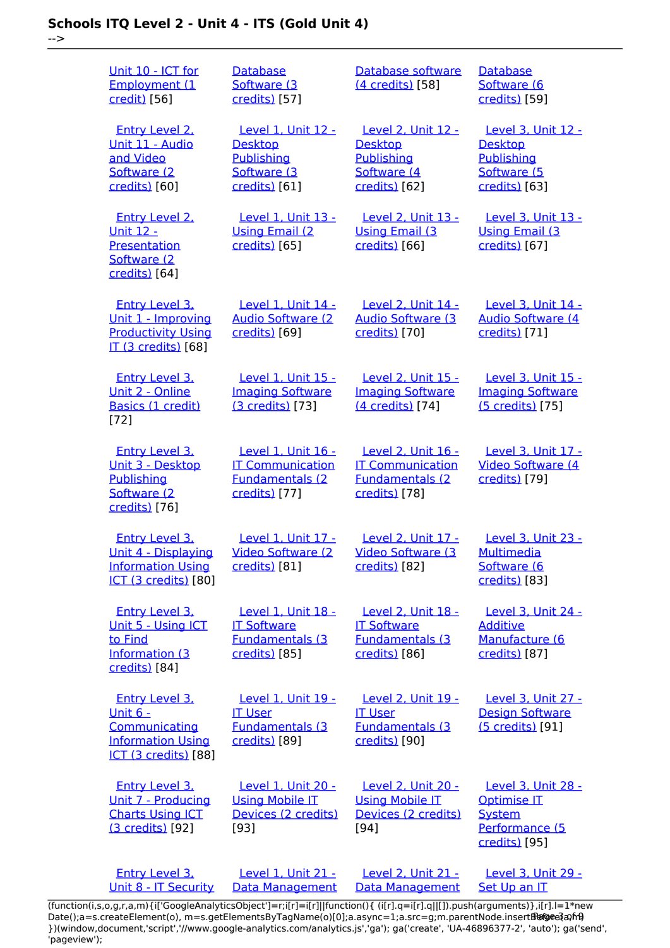-->

| Unit 10 - ICT for<br>Employment (1<br>credit) [56]                                                            | Database<br>Software (3<br>credits) [57]                                                  | Database software<br>(4 credits) [58]                                                       | <b>Database</b><br>Software (6<br>credits) [59]                                                     |
|---------------------------------------------------------------------------------------------------------------|-------------------------------------------------------------------------------------------|---------------------------------------------------------------------------------------------|-----------------------------------------------------------------------------------------------------|
| <b>Entry Level 2.</b><br>Unit 11 - Audio<br>and Video<br>Software (2<br>credits) [60]                         | Level 1, Unit 12 -<br><b>Desktop</b><br>Publishing<br>Software (3<br>credits) [61]        | <b>Level 2, Unit 12 -</b><br><b>Desktop</b><br>Publishing<br>Software (4<br>credits) [62]   | <b>Level 3, Unit 12 -</b><br><b>Desktop</b><br>Publishing<br>Software (5<br>credits) [63]           |
| <b>Entry Level 2.</b><br><u> Unit 12 -</u><br>Presentation<br>Software (2<br>credits) [64]                    | Level 1, Unit 13 -<br><b>Using Email (2)</b><br>credits) [65]                             | Level 2, Unit 13 -<br><b>Using Email (3)</b><br>credits) [66]                               | Level 3, Unit 13 -<br><b>Using Email (3</b><br>credits) [67]                                        |
| <b>Entry Level 3.</b><br>Unit 1 - Improving<br><b>Productivity Using</b><br><b>IT (3 credits)</b> [68]        | Level 1, Unit 14 -<br><b>Audio Software (2)</b><br>credits) [69]                          | <b>Level 2, Unit 14 -</b><br><b>Audio Software (3)</b><br>credits) [70]                     | Level 3, Unit 14 -<br><b>Audio Software (4</b><br>credits) [71]                                     |
| <b>Entry Level 3.</b><br>Unit 2 - Online<br>Basics (1 credit)<br>$[72]$                                       | Level 1, Unit 15 -<br><b>Imaging Software</b><br>(3 credits) [73]                         | Level 2, Unit 15 -<br><b>Imaging Software</b><br>(4 credits) [74]                           | Level 3, Unit 15 -<br><b>Imaging Software</b><br>(5 credits) [75]                                   |
| <b>Entry Level 3,</b><br>Unit 3 - Desktop<br>Publishing<br>Software (2<br>credits) [76]                       | Level 1, Unit 16 -<br><b>IT Communication</b><br><b>Fundamentals (2)</b><br>credits) [77] | Level 2. Unit 16 -<br><b>IT Communication</b><br><b>Fundamentals (2)</b><br>credits) [78]   | Level 3. Unit 17 -<br>Video Software (4<br>credits) [79]                                            |
| <b>Entry Level 3.</b><br>Unit 4 - Displaying<br><b>Information Using</b><br>ICT (3 credits) [80]              | Level 1, Unit 17 -<br>Video Software (2)<br>credits) [81]                                 | Level 2, Unit 17 -<br>Video Software (3)<br>credits) [82]                                   | <b>Level 3, Unit 23 -</b><br><b>Multimedia</b><br>Software (6<br>credits) [83]                      |
| <b>Entry Level 3.</b><br>Unit 5 - Using ICT<br>to Find<br>Information (3)<br>credits) [84]                    | Level 1, Unit 18 -<br><b>IT Software</b><br><b>Fundamentals (3)</b><br>credits) [85]      | <b>Level 2. Unit 18 -</b><br><b>IT Software</b><br><b>Fundamentals (3)</b><br>credits) [86] | <b>Level 3. Unit 24 -</b><br><b>Additive</b><br>Manufacture (6<br>credits) [87]                     |
| <b>Entry Level 3.</b><br><u>Unit 6 -</u><br>Communicating<br><b>Information Using</b><br>ICT (3 credits) [88] | Level 1, Unit 19 -<br><b>IT User</b><br><b>Fundamentals (3)</b><br>credits) [89]          | <b>Level 2, Unit 19 -</b><br><b>IT User</b><br><b>Fundamentals (3)</b><br>credits) [90]     | <b>Level 3, Unit 27 -</b><br><b>Design Software</b><br>(5 credits) [91]                             |
| <b>Entry Level 3.</b><br>Unit 7 - Producing<br><b>Charts Using ICT</b><br>(3 credits) [92]                    | Level 1, Unit 20 -<br><b>Using Mobile IT</b><br>Devices (2 credits)<br>[93]               | <b>Level 2, Unit 20 -</b><br><b>Using Mobile IT</b><br>Devices (2 credits)<br>$[94]$        | <b>Level 3, Unit 28 -</b><br><b>Optimise IT</b><br><b>System</b><br>Performance (5<br>credits) [95] |
| <b>Entry Level 3.</b><br>Unit 8 - IT Security                                                                 | Level 1, Unit 21 -<br>Data Management                                                     | <b>Level 2, Unit 21 -</b><br>Data Management                                                | Level 3, Unit 29 -<br>Set Up an IT                                                                  |

[\(function\(i,s,o,g,r,a,m\){i\['GoogleAnalyticsObject'\]=r;i\[r\]=i\[r\]||function\(\){ \(i\[r\].q=i\[r\].q||\[\]\).push\(arguments\)},i\[r\].l=1\\*new](https://theingots.org/community/siel3u4) Date();a=s.createElement(o), m=s.getElementsByTagName(o)[0];a.async=1;a.src=g;m.parentNode.insert**Before**e{a,mf} [}\)\(window,document,'script','//www.google-analytics.com/analytics.js','ga'\); ga\('create', 'UA-46896377-2', 'auto'\); ga\('send',](https://theingots.org/community/siel3u4) ['pageview'\);](https://theingots.org/community/siel3u4) Pangre3a, n9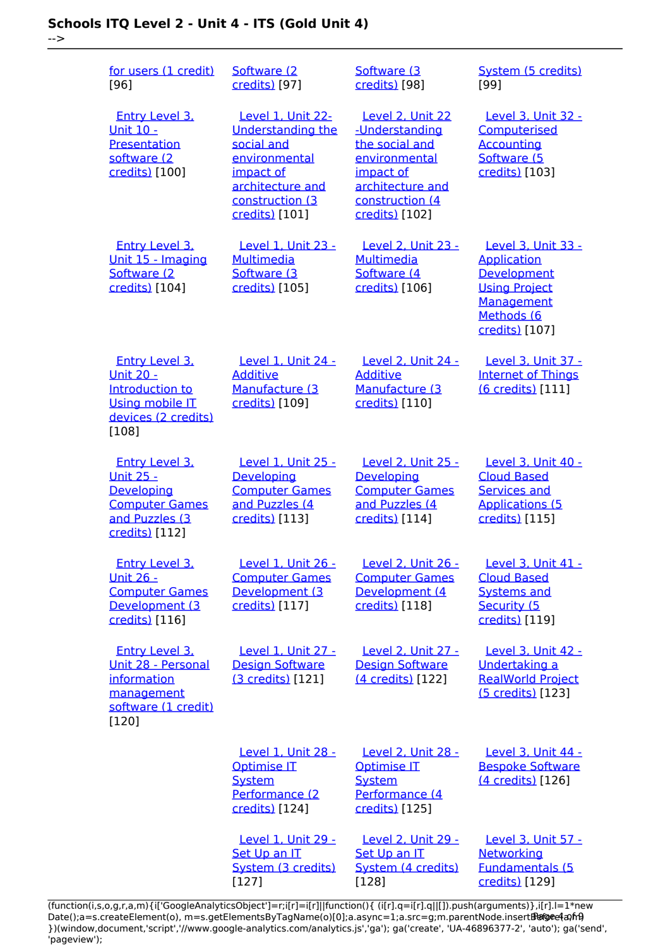-->

| for users (1 credit)<br>$[96]$                                                                                         | Software (2)<br>credits) [97]                                                                                                                      | Software (3<br>credits) [98]                                                                                                                | System (5 credits)<br>[99]                                                                                                    |
|------------------------------------------------------------------------------------------------------------------------|----------------------------------------------------------------------------------------------------------------------------------------------------|---------------------------------------------------------------------------------------------------------------------------------------------|-------------------------------------------------------------------------------------------------------------------------------|
| <b>Entry Level 3.</b><br>Unit 10 -<br>Presentation<br>software (2<br>credits) [100]                                    | Level 1, Unit 22-<br><b>Understanding the</b><br>social and<br>environmental<br>impact of<br>architecture and<br>construction (3<br>credits) [101] | Level 2, Unit 22<br>-Understanding<br>the social and<br>environmental<br>impact of<br>architecture and<br>construction (4<br>credits) [102] | Level 3, Unit 32 -<br>Computerised<br><b>Accounting</b><br>Software (5<br>credits) [103]                                      |
| Entry Level 3,<br>Unit 15 - Imaging<br>Software (2)<br>credits) [104]                                                  | <b>Level 1, Unit 23 -</b><br><b>Multimedia</b><br>Software (3<br>credits) [105]                                                                    | Level 2, Unit 23 -<br><b>Multimedia</b><br>Software (4<br>credits) [106]                                                                    | Level 3, Unit 33 -<br><b>Application</b><br>Development<br><b>Using Project</b><br>Management<br>Methods (6<br>credits) [107] |
| <b>Entry Level 3.</b><br><b>Unit 20 -</b><br>Introduction to<br><b>Using mobile IT</b><br>devices (2 credits)<br>[108] | Level 1, Unit 24 -<br><b>Additive</b><br>Manufacture (3<br>credits) [109]                                                                          | Level 2, Unit 24 -<br><b>Additive</b><br>Manufacture (3<br>credits) [110]                                                                   | Level 3, Unit 37 -<br><b>Internet of Things</b><br>(6 credits) [111]                                                          |
| <b>Entry Level 3.</b><br><u>Unit 25 -</u><br>Developing<br><b>Computer Games</b><br>and Puzzles (3)<br>credits) [112]  | Level 1, Unit 25 -<br>Developing<br><b>Computer Games</b><br>and Puzzles (4<br>credits) [113]                                                      | Level 2, Unit 25 -<br>Developing<br><b>Computer Games</b><br>and Puzzles (4<br>credits) [114]                                               | Level 3, Unit 40 -<br><b>Cloud Based</b><br><b>Services and</b><br><b>Applications (5</b><br>credits) [115]                   |
| <b>Entry Level 3.</b><br><u>Unit 26 -</u><br><b>Computer Games</b><br>Development (3<br>credits) [116]                 | Level 1, Unit 26 -<br><b>Computer Games</b><br>Development (3<br>credits) [117]                                                                    | Level 2, Unit 26 -<br><b>Computer Games</b><br>Development (4<br>credits) [118]                                                             | Level 3, Unit 41 -<br><b>Cloud Based</b><br><b>Systems and</b><br>Security (5<br>credits) [119]                               |
| <b>Entry Level 3.</b><br>Unit 28 - Personal<br>information<br>management<br>software (1 credit)<br>[120]               | Level 1, Unit 27 -<br><b>Design Software</b><br>(3 credits) [121]                                                                                  | Level 2, Unit 27 -<br><b>Design Software</b><br>(4 credits) [122]                                                                           | Level 3, Unit 42 -<br>Undertaking a<br><b>RealWorld Project</b><br>(5 credits) [123]                                          |
|                                                                                                                        | Level 1, Unit 28 -<br><b>Optimise IT</b><br><b>System</b><br>Performance (2<br>credits) [124]                                                      | Level 2, Unit 28 -<br><b>Optimise IT</b><br><b>System</b><br>Performance (4<br>credits) [125]                                               | Level 3, Unit 44 -<br><b>Bespoke Software</b><br>(4 credits) [126]                                                            |
|                                                                                                                        | Level 1, Unit 29 -<br>Set Up an IT<br>System (3 credits)<br>[127]                                                                                  | Level 2, Unit 29 -<br>Set Up an IT<br>System (4 credits)<br>$[128]$                                                                         | Level 3, Unit 57 -<br>Networking<br><b>Fundamentals (5</b><br>credits) [129]                                                  |

(function(i,s,o,g,r,a,m){i['GoogleAnalyticsObject']=r;i[r]=i[r]||function(){ (i[r].q=i[r].q||[]).push(arguments)},i[r].l=1\*new Date();a=s.createElement(o), m=s.getElementsByTagName(o)[0];a.async=1;a.src=g;m.parentNode.insert**Bෂ@e4**a,m9 })(window,document,'script','//www.google-analytics.com/analytics.js','ga'); ga('create', 'UA-46896377-2', 'auto'); ga('send', 'pageview'); Page 4 of 9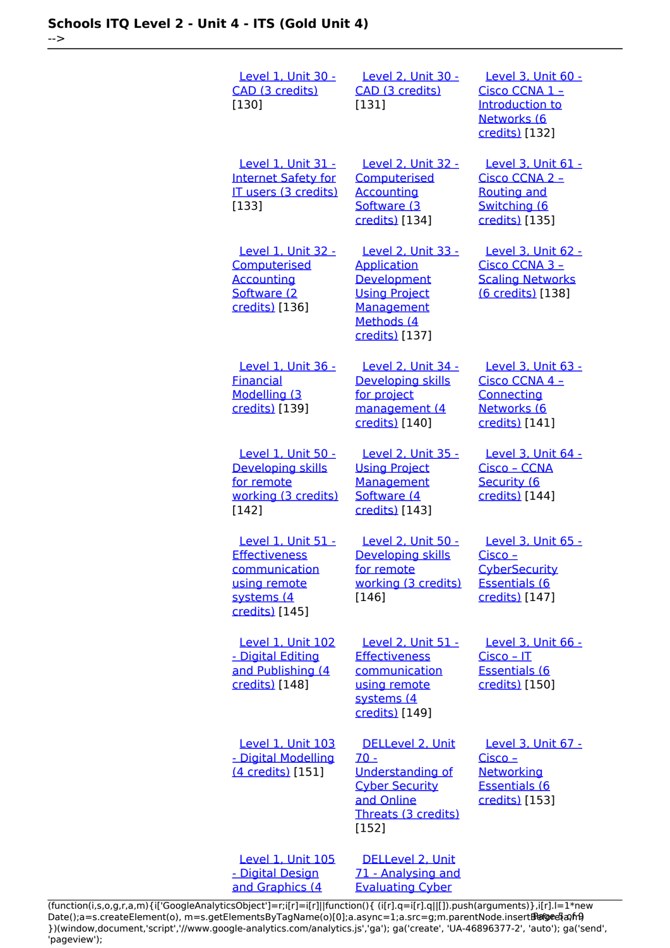-->

| Level 1, Unit 30 -<br>CAD (3 credits)<br>[130]                                                              | <u>Level 2, Unit 30 -</u><br>CAD (3 credits)<br>[131]                                                                                | Level 3, Unit 60 -<br>Cisco CCNA 1 -<br>Introduction to<br>Networks (6<br>credits) [132]                 |
|-------------------------------------------------------------------------------------------------------------|--------------------------------------------------------------------------------------------------------------------------------------|----------------------------------------------------------------------------------------------------------|
| <b>Level 1, Unit 31 -</b><br><b>Internet Safety for</b><br>IT users (3 credits)<br>[133]                    | <b>Level 2, Unit 32 -</b><br>Computerised<br><b>Accounting</b><br>Software (3<br>credits) [134]                                      | Level 3, Unit 61 -<br>Cisco CCNA 2 -<br><b>Routing and</b><br>Switching (6<br>credits) [135]             |
| Level 1, Unit 32 -<br>Computerised<br><b>Accounting</b><br>Software (2<br>credits) [136]                    | Level 2, Unit 33 -<br><b>Application</b><br>Development<br><b>Using Project</b><br><b>Management</b><br>Methods (4<br>credits) [137] | Level 3, Unit 62 -<br>Cisco CCNA 3 -<br><b>Scaling Networks</b><br>(6 credits) [138]                     |
| Level 1, Unit 36 -<br><b>Financial</b><br>Modelling (3<br>credits) [139]                                    | <b>Level 2, Unit 34 -</b><br>Developing skills<br>for project<br>management (4<br>credits) [140]                                     | Level 3, Unit 63 -<br>Cisco CCNA 4 -<br><b>Connecting</b><br>Networks (6<br>credits) [141]               |
| Level 1, Unit 50 -<br>Developing skills<br>for remote<br>working (3 credits)<br>[142]                       | <b>Level 2, Unit 35 -</b><br><b>Using Project</b><br>Management<br>Software (4<br>credits) [143]                                     | Level 3, Unit 64 -<br>Cisco - CCNA<br>Security (6<br>credits) [144]                                      |
| Level 1, Unit 51 -<br><b>Effectiveness</b><br>communication<br>using remote<br>systems (4<br>credits) [145] | <b>Level 2, Unit 50 -</b><br>Developing skills<br>for remote<br>working (3 credits)<br>[146]                                         | Level 3, Unit 65 -<br><u> Cisco – </u><br><b>CyberSecurity</b><br><b>Essentials (6</b><br>credits) [147] |
| Level 1, Unit 102<br>- Digital Editing<br>and Publishing (4<br>credits) [148]                               | Level 2, Unit 51 -<br><b>Effectiveness</b><br>communication<br>using remote<br>systems (4<br>credits) [149]                          | Level 3, Unit 66 -<br>Cisco - IT<br><b>Essentials (6</b><br>credits) [150]                               |
| <b>Level 1, Unit 103</b><br>- Digital Modelling<br>(4 credits) [151]                                        | DELLevel 2, Unit<br>$70 -$<br><b>Understanding of</b><br><b>Cyber Security</b><br>and Online<br>Threats (3 credits)<br>$[152]$       | Level 3, Unit 67 -<br><u> Cisco – </u><br><b>Networking</b><br>Essentials (6<br>credits) [153]           |
| <b>Level 1, Unit 105</b><br>- Digital Design                                                                | DELLevel 2, Unit<br>71 - Analysing and                                                                                               |                                                                                                          |

[\(function\(i,s,o,g,r,a,m\){i\['GoogleAnalyticsObject'\]=r;i\[r\]=i\[r\]||function\(\){ \(i\[r\].q=i\[r\].q||\[\]\).push\(arguments\)},i\[r\].l=1\\*new](https://theingots.org/community/sil1u105) Date();a=s.createElement(o), m=s.getElementsByTagName(o)[0];a.async=1;a.src=g;m.parentNode.insert**Before**e{a,mf} [}\)\(window,document,'script','//www.google-analytics.com/analytics.js','ga'\); ga\('create', 'UA-46896377-2', 'auto'\); ga\('send',](https://theingots.org/community/sil1u105) ['pageview'\);](https://theingots.org/community/sil1u105) Pangredan fra

[Evaluating Cyber](https://theingots.org/community/sil2u71)

[and Graphics \(4](https://theingots.org/community/sil1u105)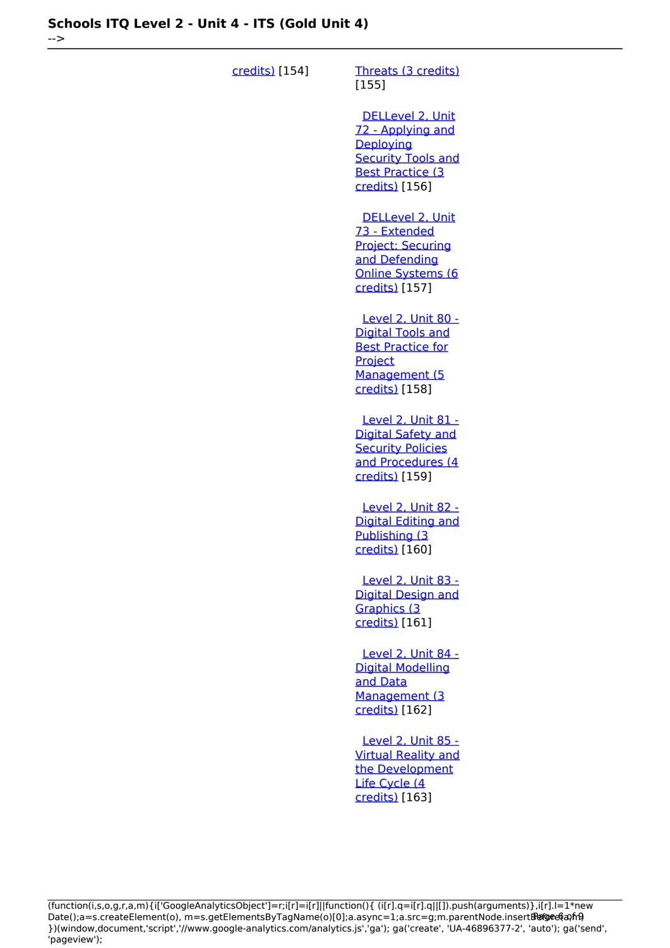-->

| credits) [154] | Threats (3 credits)<br>[155]                                                                                                    |
|----------------|---------------------------------------------------------------------------------------------------------------------------------|
|                | DELLevel 2, Unit<br>72 - Applying and<br>Deploying<br><b>Security Tools and</b><br><b>Best Practice (3</b><br>credits) [156]    |
|                | DELLevel 2, Unit<br>73 - Extended<br>Project: Securing<br>and Defending<br><b>Online Systems (6</b><br>credits) [157]           |
|                | <b>Level 2, Unit 80 -</b><br><b>Digital Tools and</b><br><b>Best Practice for</b><br>Project<br>Management (5<br>credits) [158] |
|                | <b>Level 2, Unit 81 -</b><br><b>Digital Safety and</b><br><b>Security Policies</b><br>and Procedures (4<br>credits) [159]       |
|                | <b>Level 2, Unit 82 -</b><br><b>Digital Editing and</b><br>Publishing (3)<br>credits) [160]                                     |
|                | Level 2, Unit 83 -<br><b>Digital Design and</b><br>Graphics (3<br>credits) [161]                                                |
|                | Level 2, Unit 84 -<br><b>Digital Modelling</b><br>and Data<br>Management (3<br>credits) [162]                                   |
|                | <b>Level 2, Unit 85 -</b><br><b>Virtual Reality and</b><br>the Development<br>Life Cycle (4<br>credits) [163]                   |

(function(i,s,o,g,r,a,m){i['GoogleAnalyticsObject']=r;i[r]=i[r]||function(){ (i[r].q=i[r].q||[]).push(arguments)},i[r].l=1\*new Date();a=s.createElement(o), m=s.getElementsByTagName(o)[0];a.async=1;a.src=g;m.parentNode.insert**Before**e(a,mf) })(window,document,'script','//www.google-analytics.com/analytics.js','ga'); ga('create', 'UA-46896377-2', 'auto'); ga('send', 'pageview'); Paggree@apfrB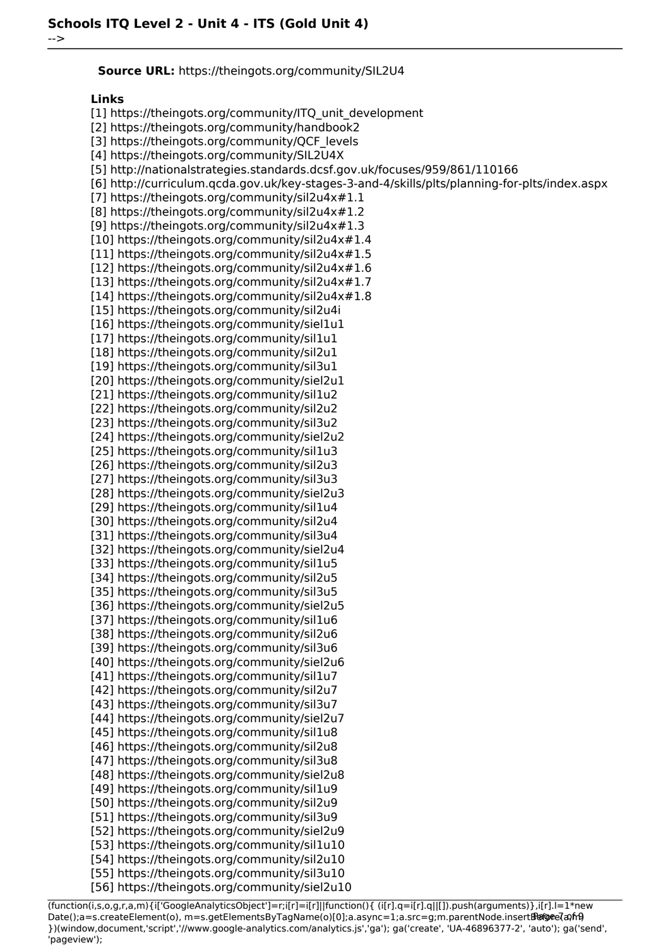**Source URL:** https://theingots.org/community/SIL2U4

#### **Links**

-->

[1] https://theingots.org/community/ITQ\_unit\_development [2] https://theingots.org/community/handbook2 [3] https://theingots.org/community/QCF\_levels [4] https://theingots.org/community/SIL2U4X [5] http://nationalstrategies.standards.dcsf.gov.uk/focuses/959/861/110166 [6] http://curriculum.qcda.gov.uk/key-stages-3-and-4/skills/plts/planning-for-plts/index.aspx [7] https://theingots.org/community/sil2u4x#1.1 [8] https://theingots.org/community/sil2u4x#1.2 [9] https://theingots.org/community/sil2u4x#1.3 [10] https://theingots.org/community/sil2u4x#1.4 [11] https://theingots.org/community/sil2u4x#1.5 [12] https://theingots.org/community/sil2u4x#1.6 [13] https://theingots.org/community/sil2u4x#1.7 [14] https://theingots.org/community/sil2u4x#1.8 [15] https://theingots.org/community/sil2u4i [16] https://theingots.org/community/siel1u1 [17] https://theingots.org/community/sil1u1 [18] https://theingots.org/community/sil2u1 [19] https://theingots.org/community/sil3u1 [20] https://theingots.org/community/siel2u1 [21] https://theingots.org/community/sil1u2 [22] https://theingots.org/community/sil2u2 [23] https://theingots.org/community/sil3u2 [24] https://theingots.org/community/siel2u2 [25] https://theingots.org/community/sil1u3 [26] https://theingots.org/community/sil2u3 [27] https://theingots.org/community/sil3u3 [28] https://theingots.org/community/siel2u3 [29] https://theingots.org/community/sil1u4 [30] https://theingots.org/community/sil2u4 [31] https://theingots.org/community/sil3u4 [32] https://theingots.org/community/siel2u4 [33] https://theingots.org/community/sil1u5 [34] https://theingots.org/community/sil2u5 [35] https://theingots.org/community/sil3u5 [36] https://theingots.org/community/siel2u5 [37] https://theingots.org/community/sil1u6 [38] https://theingots.org/community/sil2u6 [39] https://theingots.org/community/sil3u6 [40] https://theingots.org/community/siel2u6 [41] https://theingots.org/community/sil1u7 [42] https://theingots.org/community/sil2u7 [43] https://theingots.org/community/sil3u7 [44] https://theingots.org/community/siel2u7 [45] https://theingots.org/community/sil1u8 [46] https://theingots.org/community/sil2u8 [47] https://theingots.org/community/sil3u8 [48] https://theingots.org/community/siel2u8 [49] https://theingots.org/community/sil1u9 [50] https://theingots.org/community/sil2u9 [51] https://theingots.org/community/sil3u9 [52] https://theingots.org/community/siel2u9 [53] https://theingots.org/community/sil1u10 [54] https://theingots.org/community/sil2u10 [55] https://theingots.org/community/sil3u10 [56] https://theingots.org/community/siel2u10

(function(i,s,o,g,r,a,m){i['GoogleAnalyticsObject']=r;i[r]=i[r]||function(){ (i[r].q=i[r].q||[]).push(arguments)},i[r].l=1\*new Date();a=s.createElement(o), m=s.getElementsByTagName(o)[0];a.async=1;a.src=g;m.parentNode.insertBefore?aንfrዓ })(window,document,'script','//www.google-analytics.com/analytics.js','ga'); ga('create', 'UA-46896377-2', 'auto'); ga('send', 'pageview');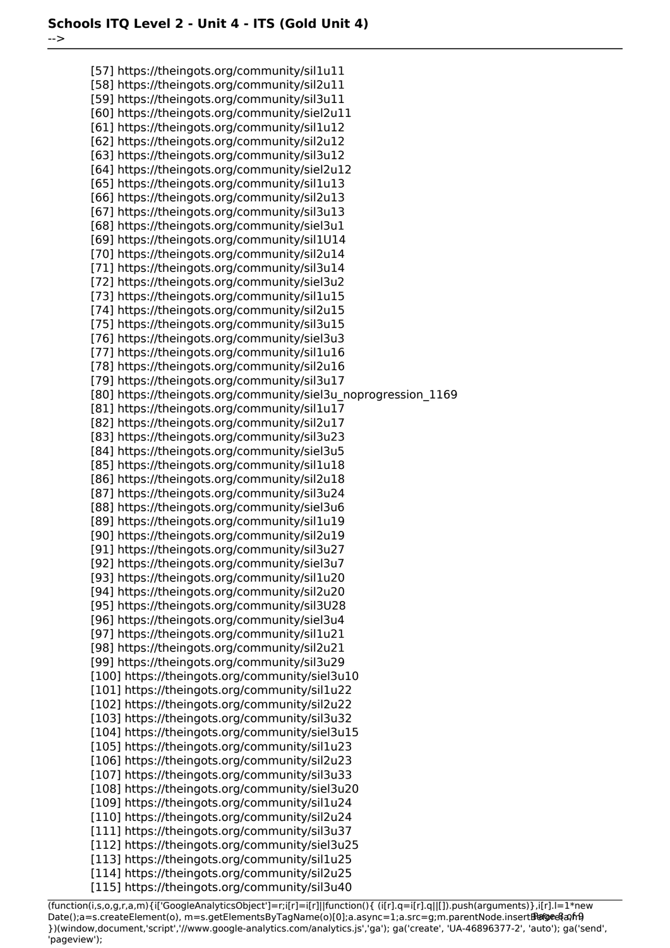-->

[57] https://theingots.org/community/sil1u11 [58] https://theingots.org/community/sil2u11 [59] https://theingots.org/community/sil3u11 [60] https://theingots.org/community/siel2u11 [61] https://theingots.org/community/sil1u12 [62] https://theingots.org/community/sil2u12 [63] https://theingots.org/community/sil3u12 [64] https://theingots.org/community/siel2u12 [65] https://theingots.org/community/sil1u13 [66] https://theingots.org/community/sil2u13 [67] https://theingots.org/community/sil3u13 [68] https://theingots.org/community/siel3u1 [69] https://theingots.org/community/sil1U14 [70] https://theingots.org/community/sil2u14 [71] https://theingots.org/community/sil3u14 [72] https://theingots.org/community/siel3u2 [73] https://theingots.org/community/sil1u15 [74] https://theingots.org/community/sil2u15 [75] https://theingots.org/community/sil3u15 [76] https://theingots.org/community/siel3u3 [77] https://theingots.org/community/sil1u16 [78] https://theingots.org/community/sil2u16 [79] https://theingots.org/community/sil3u17 [80] https://theingots.org/community/siel3u\_noprogression\_1169 [81] https://theingots.org/community/sil1u17 [82] https://theingots.org/community/sil2u17 [83] https://theingots.org/community/sil3u23 [84] https://theingots.org/community/siel3u5 [85] https://theingots.org/community/sil1u18 [86] https://theingots.org/community/sil2u18 [87] https://theingots.org/community/sil3u24 [88] https://theingots.org/community/siel3u6 [89] https://theingots.org/community/sil1u19 [90] https://theingots.org/community/sil2u19 [91] https://theingots.org/community/sil3u27 [92] https://theingots.org/community/siel3u7 [93] https://theingots.org/community/sil1u20 [94] https://theingots.org/community/sil2u20 [95] https://theingots.org/community/sil3U28 [96] https://theingots.org/community/siel3u4 [97] https://theingots.org/community/sil1u21 [98] https://theingots.org/community/sil2u21 [99] https://theingots.org/community/sil3u29 [100] https://theingots.org/community/siel3u10 [101] https://theingots.org/community/sil1u22 [102] https://theingots.org/community/sil2u22 [103] https://theingots.org/community/sil3u32 [104] https://theingots.org/community/siel3u15 [105] https://theingots.org/community/sil1u23 [106] https://theingots.org/community/sil2u23 [107] https://theingots.org/community/sil3u33 [108] https://theingots.org/community/siel3u20 [109] https://theingots.org/community/sil1u24 [110] https://theingots.org/community/sil2u24 [111] https://theingots.org/community/sil3u37 [112] https://theingots.org/community/siel3u25 [113] https://theingots.org/community/sil1u25 [114] https://theingots.org/community/sil2u25 [115] https://theingots.org/community/sil3u40

(function(i,s,o,g,r,a,m){i['GoogleAnalyticsObject']=r;i[r]=i[r]||function(){ (i[r].q=i[r].q||[]).push(arguments)},i[r].l=1\*new Date();a=s.createElement(o), m=s.getElementsByTagName(o)[0];a.async=1;a.src=g;m.parentNode.insertBefore&aภfr9 })(window,document,'script','//www.google-analytics.com/analytics.js','ga'); ga('create', 'UA-46896377-2', 'auto'); ga('send', 'pageview');